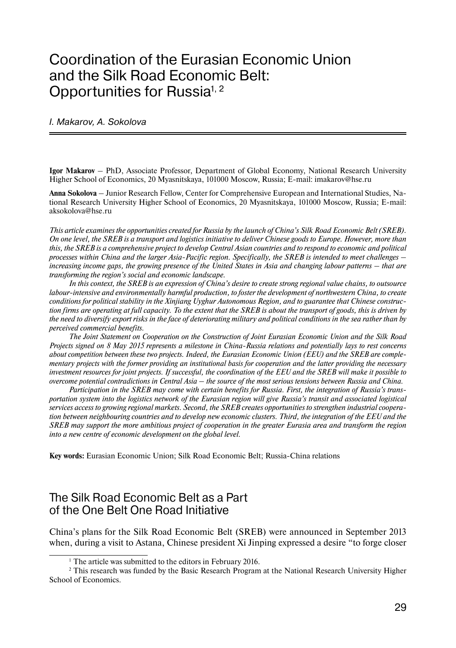# Coordination of the Eurasian Economic Union and the Silk Road Economic Belt: Opportunities for Russia<sup>1, 2</sup>

#### I. Makarov, A. Sokolova

**Igor Makarov** – PhD, Associate Professor, Department of Global Economy, National Research University Higher School of Economics, 20 Myasnitskaya, 101000 Moscow, Russia; E-mail: imakarov@hse.ru

**Anna Sokolova** – Junior Research Fellow, Center for Comprehensive European and International Studies, National Research University Higher School of Economics, 20 Myasnitskaya, 101000 Moscow, Russia; E-mail: aksokolova@hse.ru

*This article examines the opportunities created for Russia by the launch of China's Silk Road Economic Belt (SREB). On one level, the SREB is a transport and logistics initiative to deliver Chinese goods to Europe. However, more than this, the SREB is a comprehensive project to develop Central Asian countries and to respond to economic and political processes within China and the larger Asia-Pacific region. Specifically, the SREB is intended to meet challenges – increasing income gaps, the growing presence of the United States in Asia and changing labour patterns – that are transforming the region's social and economic landscape.*

*In this context, the SREB is an expression of China's desire to create strong regional value chains, to outsource labour-intensive and environmentally harmful production, to foster the development of northwestern China, to create conditions for political stability in the Xinjiang Uyghur Autonomous Region, and to guarantee that Chinese construction firms are operating at full capacity. To the extent that the SREB is about the transport of goods, this is driven by the need to diversify export risks in the face of deteriorating military and political conditions in the sea rather than by perceived commercial benefits.* 

*The Joint Statement on Cooperation on the Construction of Joint Eurasian Economic Union and the Silk Road Projects signed on 8 May 2015 represents a milestone in China-Russia relations and potentially lays to rest concerns about competition between these two projects. Indeed, the Eurasian Economic Union (EEU) and the SREB are complementary projects with the former providing an institutional basis for cooperation and the latter providing the necessary investment resources for joint projects. If successful, the coordination of the EEU and the SREB will make it possible to overcome potential contradictions in Central Asia – the source of the most serious tensions between Russia and China.* 

*Participation in the SREB may come with certain benefits for Russia. First, the integration of Russia's transportation system into the logistics network of the Eurasian region will give Russia's transit and associated logistical services access to growing regional markets. Second, the SREB creates opportunities to strengthen industrial cooperation between neighbouring countries and to develop new economic clusters. Third, the integration of the EEU and the SREB may support the more ambitious project of cooperation in the greater Eurasia area and transform the region into a new centre of economic development on the global level.*

**Key words:** Eurasian Economic Union; Silk Road Economic Belt; Russia-China relations

#### The Silk Road Economic Belt as a Part of the One Belt One Road Initiative

China's plans for the Silk Road Economic Belt (SREB) were announced in September 2013 when, during a visit to Astana, Chinese president Xi Jinping expressed a desire "to forge closer

<sup>&</sup>lt;sup>1</sup> The article was submitted to the editors in February 2016.

<sup>&</sup>lt;sup>2</sup> This research was funded by the Basic Research Program at the National Research University Higher School of Economics.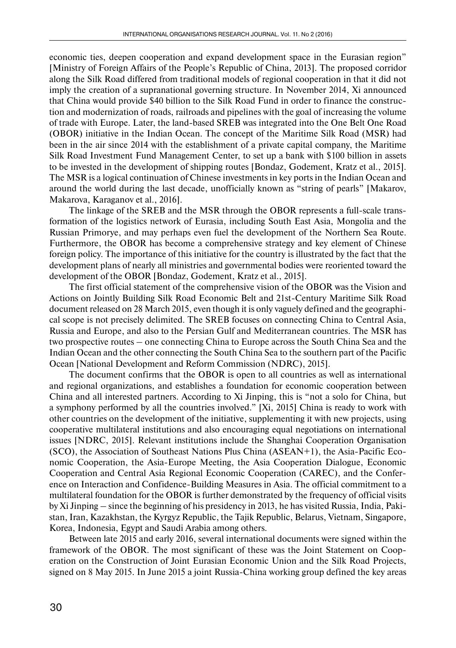economic ties, deepen cooperation and expand development space in the Eurasian region" [Ministry of Foreign Affairs of the People's Republic of China, 2013]. The proposed corridor along the Silk Road differed from traditional models of regional cooperation in that it did not imply the creation of a supranational governing structure. In November 2014, Xi announced that China would provide \$40 billion to the Silk Road Fund in order to finance the construction and modernization of roads, railroads and pipelines with the goal of increasing the volume of trade with Europe. Later, the land-based SREB was integrated into the One Belt One Road (OBOR) initiative in the Indian Ocean. The concept of the Maritime Silk Road (MSR) had been in the air since 2014 with the establishment of a private capital company, the Maritime Silk Road Investment Fund Management Center, to set up a bank with \$100 billion in assets to be invested in the development of shipping routes [Bondaz, Godement, Kratz et al., 2015]. The MSR is a logical continuation of Chinese investments in key ports in the Indian Ocean and around the world during the last decade, unofficially known as "string of pearls" [Makarov, Makarova, Karaganov et al., 2016].

The linkage of the SREB and the MSR through the OBOR represents a full-scale transformation of the logistics network of Eurasia, including South East Asia, Mongolia and the Russian Primorye, and may perhaps even fuel the development of the Northern Sea Route. Furthermore, the OBOR has become a comprehensive strategy and key element of Chinese foreign policy. The importance of this initiative for the country is illustrated by the fact that the development plans of nearly all ministries and governmental bodies were reoriented toward the development of the OBOR [Bondaz, Godement, Kratz et al., 2015].

The first official statement of the comprehensive vision of the OBOR was the Vision and Actions on Jointly Building Silk Road Economic Belt and 21st-Century Maritime Silk Road document released on 28 March 2015, even though it is only vaguely defined and the geographical scope is not precisely delimited. The SREB focuses on connecting China to Central Asia, Russia and Europe, and also to the Persian Gulf and Mediterranean countries. The MSR has two prospective routes – one connecting China to Europe across the South China Sea and the Indian Ocean and the other connecting the South China Sea to the southern part of the Pacific Ocean [National Development and Reform Commission (NDRC), 2015].

The document confirms that the OBOR is open to all countries as well as international and regional organizations, and establishes a foundation for economic cooperation between China and all interested partners. According to Xi Jinping, this is "not a solo for China, but a symphony performed by all the countries involved." [Xi, 2015] China is ready to work with other countries on the development of the initiative, supplementing it with new projects, using cooperative multilateral institutions and also encouraging equal negotiations on international issues [NDRC, 2015]. Relevant institutions include the Shanghai Cooperation Organisation (SCO), the Association of Southeast Nations Plus China (ASEAN+1), the Asia-Pacific Economic Cooperation, the Asia-Europe Meeting, the Asia Cooperation Dialogue, Economic Cooperation and Central Asia Regional Economic Cooperation (CAREC), and the Conference on Interaction and Confidence-Building Measures in Asia. The official commitment to a multilateral foundation for the OBOR is further demonstrated by the frequency of official visits by Xi Jinping – since the beginning of his presidency in 2013, he has visited Russia, India, Pakistan, Iran, Kazakhstan, the Kyrgyz Republic, the Tajik Republic, Belarus, Vietnam, Singapore, Korea, Indonesia, Egypt and Saudi Arabia among others.

Between late 2015 and early 2016, several international documents were signed within the framework of the OBOR. The most significant of these was the Joint Statement on Cooperation on the Construction of Joint Eurasian Economic Union and the Silk Road Projects, signed on 8 May 2015. In June 2015 a joint Russia-China working group defined the key areas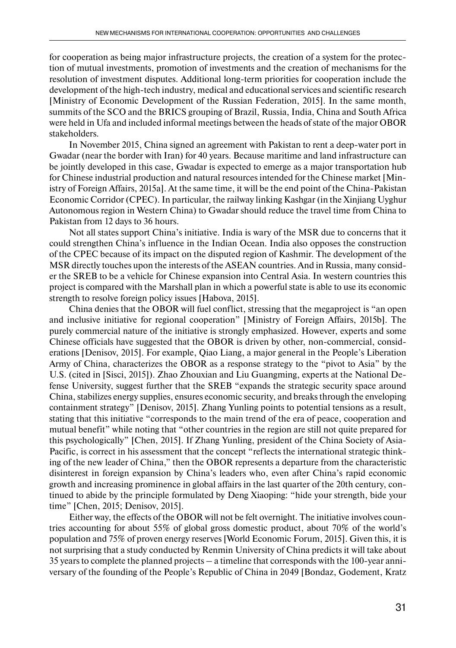for cooperation as being major infrastructure projects, the creation of a system for the protection of mutual investments, promotion of investments and the creation of mechanisms for the resolution of investment disputes. Additional long-term priorities for cooperation include the development of the high-tech industry, medical and educational services and scientific research [Ministry of Economic Development of the Russian Federation, 2015]. In the same month, summits of the SCO and the BRICS grouping of Brazil, Russia, India, China and South Africa were held in Ufa and included informal meetings between the heads of state of the major OBOR stakeholders.

In November 2015, China signed an agreement with Pakistan to rent a deep-water port in Gwadar (near the border with Iran) for 40 years. Because maritime and land infrastructure can be jointly developed in this case, Gwadar is expected to emerge as a major transportation hub for Chinese industrial production and natural resources intended for the Chinese market [Ministry of Foreign Affairs, 2015a]. At the same time, it will be the end point of the China-Pakistan Economic Corridor (CPEC). In particular, the railway linking Kashgar (in the Xinjiang Uyghur Autonomous region in Western China) to Gwadar should reduce the travel time from China to Pakistan from 12 days to 36 hours.

Not all states support China's initiative. India is wary of the MSR due to concerns that it could strengthen China's influence in the Indian Ocean. India also opposes the construction of the CPEC because of its impact on the disputed region of Kashmir. The development of the MSR directly touches upon the interests of the ASEAN countries. And in Russia, many consider the SREB to be a vehicle for Chinese expansion into Central Asia. In western countries this project is compared with the Marshall plan in which a powerful state is able to use its economic strength to resolve foreign policy issues [Habova, 2015].

China denies that the OBOR will fuel conflict, stressing that the megaproject is "an open and inclusive initiative for regional cooperation" [Ministry of Foreign Affairs, 2015b]. The purely commercial nature of the initiative is strongly emphasized. However, experts and some Chinese officials have suggested that the OBOR is driven by other, non-commercial, considerations [Denisov, 2015]. For example, Qiao Liang, a major general in the People's Liberation Army of China, characterizes the OBOR as a response strategy to the "pivot to Asia" by the U.S. (cited in [Sisci, 2015]). Zhao Zhouxian and Liu Guangming, experts at the National Defense University, suggest further that the SREB "expands the strategic security space around China, stabilizes energy supplies, ensures economic security, and breaks through the enveloping containment strategy" [Denisov, 2015]. Zhang Yunling points to potential tensions as a result, stating that this initiative "corresponds to the main trend of the era of peace, cooperation and mutual benefit" while noting that "other countries in the region are still not quite prepared for this psychologically" [Chen, 2015]. If Zhang Yunling, president of the China Society of Asia-Pacific, is correct in his assessment that the concept "reflects the international strategic thinking of the new leader of China," then the OBOR represents a departure from the characteristic disinterest in foreign expansion by China's leaders who, even after China's rapid economic growth and increasing prominence in global affairs in the last quarter of the 20th century, continued to abide by the principle formulated by Deng Xiaoping: "hide your strength, bide your time" [Chen, 2015; Denisov, 2015].

Either way, the effects of the OBOR will not be felt overnight. The initiative involves countries accounting for about 55% of global gross domestic product, about 70% of the world's population and 75% of proven energy reserves [World Economic Forum, 2015]. Given this, it is not surprising that a study conducted by Renmin University of China predicts it will take about 35 years to complete the planned projects – a timeline that corresponds with the 100-year anniversary of the founding of the People's Republic of China in 2049 [Bondaz, Godement, Kratz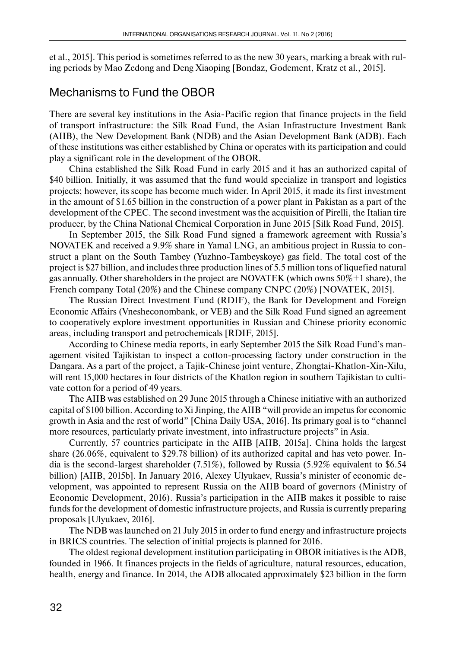et al., 2015]. This period is sometimes referred to as the new 30 years, marking a break with ruling periods by Mao Zedong and Deng Xiaoping [Bondaz, Godement, Kratz et al., 2015].

### Mechanisms to Fund the OBOR

There are several key institutions in the Asia-Pacific region that finance projects in the field of transport infrastructure: the Silk Road Fund, the Asian Infrastructure Investment Bank (AIIB), the New Development Bank (NDB) and the Asian Development Bank (ADB). Each of these institutions was either established by China or operates with its participation and could play a significant role in the development of the OBOR.

China established the Silk Road Fund in early 2015 and it has an authorized capital of \$40 billion. Initially, it was assumed that the fund would specialize in transport and logistics projects; however, its scope has become much wider. In April 2015, it made its first investment in the amount of \$1.65 billion in the construction of a power plant in Pakistan as a part of the development of the CPEC. The second investment was the acquisition of Pirelli, the Italian tire producer, by the China National Chemical Corporation in June 2015 [Silk Road Fund, 2015].

In September 2015, the Silk Road Fund signed a framework agreement with Russia's NOVATEK and received a 9.9% share in Yamal LNG, an ambitious project in Russia to construct a plant on the South Tambey (Yuzhno-Tambeyskoye) gas field. The total cost of the project is \$27 billion, and includes three production lines of 5.5 million tons of liquefied natural gas annually. Other shareholders in the project are NOVATEK (which owns 50%+1 share), the French company Total (20%) and the Chinese company CNPC (20%) [NOVATEK, 2015].

The Russian Direct Investment Fund (RDIF), the Bank for Development and Foreign Economic Affairs (Vnesheconombank, or VEB) and the Silk Road Fund signed an agreement to cooperatively explore investment opportunities in Russian and Chinese priority economic areas, including transport and petrochemicals [RDIF, 2015].

According to Chinese media reports, in early September 2015 the Silk Road Fund's management visited Tajikistan to inspect a cotton-processing factory under construction in the Dangara. As a part of the project, a Tajik-Chinese joint venture, Zhongtai-Khatlon-Xin-Xilu, will rent 15,000 hectares in four districts of the Khatlon region in southern Tajikistan to cultivate cotton for a period of 49 years.

The AIIB was established on 29 June 2015 through a Chinese initiative with an authorized capital of \$100 billion. According to Xi Jinping, the AIIB "will provide an impetus for economic growth in Asia and the rest of world" [China Daily USA, 2016]. Its primary goal is to "channel more resources, particularly private investment, into infrastructure projects" in Asia.

Currently, 57 countries participate in the AIIB [AIIB, 2015a]. China holds the largest share (26.06%, equivalent to \$29.78 billion) of its authorized capital and has veto power. India is the second-largest shareholder (7.51%), followed by Russia (5.92% equivalent to \$6.54 billion) [AIIB, 2015b]. In January 2016, Alexey Ulyukaev, Russia's minister of economic development, was appointed to represent Russia on the AIIB board of governors (Ministry of Economic Development, 2016). Russia's participation in the AIIB makes it possible to raise funds for the development of domestic infrastructure projects, and Russia is currently preparing proposals [Ulyukaev, 2016].

The NDB was launched on 21 July 2015 in order to fund energy and infrastructure projects in BRICS countries. The selection of initial projects is planned for 2016.

The oldest regional development institution participating in OBOR initiatives is the ADB, founded in 1966. It finances projects in the fields of agriculture, natural resources, education, health, energy and finance. In 2014, the ADB allocated approximately \$23 billion in the form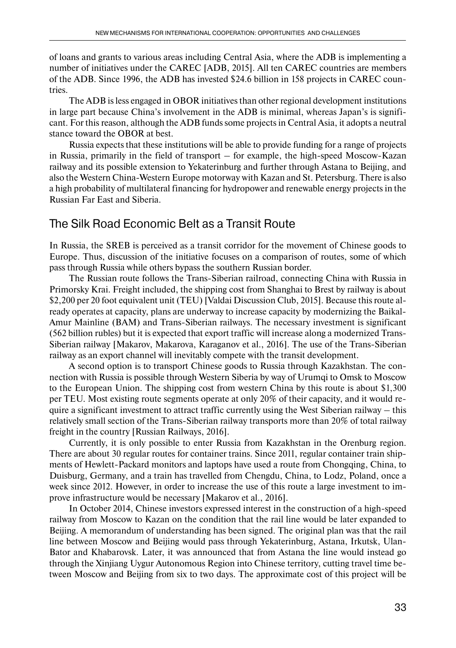of loans and grants to various areas including Central Asia, where the ADB is implementing a number of initiatives under the CAREC [ADB, 2015]. All ten CAREC countries are members of the ADB. Since 1996, the ADB has invested \$24.6 billion in 158 projects in CAREC countries.

The ADB is less engaged in OBOR initiatives than other regional development institutions in large part because China's involvement in the ADB is minimal, whereas Japan's is significant. For this reason, although the ADB funds some projects in Central Asia, it adopts a neutral stance toward the OBOR at best.

Russia expects that these institutions will be able to provide funding for a range of projects in Russia, primarily in the field of transport – for example, the high-speed Moscow-Kazan railway and its possible extension to Yekaterinburg and further through Astana to Beijing, and also the Western China-Western Europe motorway with Kazan and St. Petersburg. There is also a high probability of multilateral financing for hydropower and renewable energy projects in the Russian Far East and Siberia.

# The Silk Road Economic Belt as a Transit Route

In Russia, the SREB is perceived as a transit corridor for the movement of Chinese goods to Europe. Thus, discussion of the initiative focuses on a comparison of routes, some of which pass through Russia while others bypass the southern Russian border.

The Russian route follows the Trans-Siberian railroad, connecting China with Russia in Primorsky Krai. Freight included, the shipping cost from Shanghai to Brest by railway is about \$2,200 per 20 foot equivalent unit (TEU) [Valdai Discussion Club, 2015]. Because this route already operates at capacity, plans are underway to increase capacity by modernizing the Baikal-Amur Mainline (BAM) and Trans-Siberian railways. The necessary investment is significant (562 billion rubles) but it is expected that export traffic will increase along a modernized Trans-Siberian railway [Makarov, Makarova, Karaganov et al., 2016]. The use of the Trans-Siberian railway as an export channel will inevitably compete with the transit development.

A second option is to transport Chinese goods to Russia through Kazakhstan. The connection with Russia is possible through Western Siberia by way of Urumqi to Omsk to Moscow to the European Union. The shipping cost from western China by this route is about \$1,300 per TEU. Most existing route segments operate at only 20% of their capacity, and it would require a significant investment to attract traffic currently using the West Siberian railway – this relatively small section of the Trans-Siberian railway transports more than 20% of total railway freight in the country [Russian Railways, 2016].

Currently, it is only possible to enter Russia from Kazakhstan in the Orenburg region. There are about 30 regular routes for container trains. Since 2011, regular container train shipments of Hewlett-Packard monitors and laptops have used a route from Chongqing, China, to Duisburg, Germany, and a train has travelled from Chengdu, China, to Lodz, Poland, once a week since 2012. However, in order to increase the use of this route a large investment to improve infrastructure would be necessary [Makarov et al., 2016].

In October 2014, Chinese investors expressed interest in the construction of a high-speed railway from Moscow to Kazan on the condition that the rail line would be later expanded to Beijing. A memorandum of understanding has been signed. The original plan was that the rail line between Moscow and Beijing would pass through Yekaterinburg, Astana, Irkutsk, Ulan-Bator and Khabarovsk. Later, it was announced that from Astana the line would instead go through the Xinjiang Uygur Autonomous Region into Chinese territory, cutting travel time between Moscow and Beijing from six to two days. The approximate cost of this project will be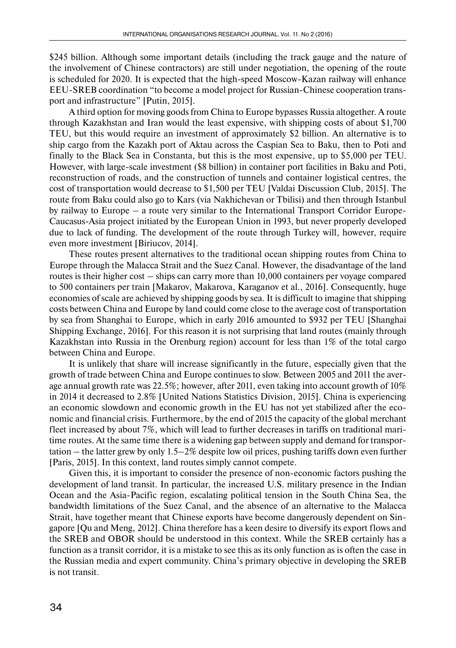\$245 billion. Although some important details (including the track gauge and the nature of the involvement of Chinese contractors) are still under negotiation, the opening of the route is scheduled for 2020. It is expected that the high-speed Moscow-Kazan railway will enhance EEU-SREB coordination "to become a model project for Russian-Chinese cooperation transport and infrastructure" [Putin, 2015].

A third option for moving goods from China to Europe bypasses Russia altogether. A route through Kazakhstan and Iran would the least expensive, with shipping costs of about \$1,700 TEU, but this would require an investment of approximately \$2 billion. An alternative is to ship cargo from the Kazakh port of Aktau across the Caspian Sea to Baku, then to Poti and finally to the Black Sea in Constanta, but this is the most expensive, up to \$5,000 per TEU. However, with large-scale investment (\$8 billion) in container port facilities in Baku and Poti, reconstruction of roads, and the construction of tunnels and container logistical centres, the cost of transportation would decrease to \$1,500 per TEU [Valdai Discussion Club, 2015]. The route from Baku could also go to Kars (via Nakhichevan or Tbilisi) and then through Istanbul by railway to Europe – a route very similar to the International Transport Corridor Europe-Caucasus-Asia project initiated by the European Union in 1993, but never properly developed due to lack of funding. The development of the route through Turkey will, however, require even more investment [Biriucov, 2014].

These routes present alternatives to the traditional ocean shipping routes from China to Europe through the Malacca Strait and the Suez Canal. However, the disadvantage of the land routes is their higher cost – ships can carry more than 10,000 containers per voyage compared to 500 containers per train [Makarov, Makarova, Karaganov et al., 2016]. Consequently, huge economies of scale are achieved by shipping goods by sea. It is difficult to imagine that shipping costs between China and Europe by land could come close to the average cost of transportation by sea from Shanghai to Europe, which in early 2016 amounted to \$932 per TEU [Shanghai Shipping Exchange, 2016]. For this reason it is not surprising that land routes (mainly through Kazakhstan into Russia in the Orenburg region) account for less than 1% of the total cargo between China and Europe.

It is unlikely that share will increase significantly in the future, especially given that the growth of trade between China and Europe continues to slow. Between 2005 and 2011 the average annual growth rate was 22.5%; however, after 2011, even taking into account growth of 10% in 2014 it decreased to 2.8% [United Nations Statistics Division, 2015]. China is experiencing an economic slowdown and economic growth in the EU has not yet stabilized after the economic and financial crisis. Furthermore, by the end of 2015 the capacity of the global merchant fleet increased by about 7%, which will lead to further decreases in tariffs on traditional maritime routes. At the same time there is a widening gap between supply and demand for transportation – the latter grew by only 1.5–2% despite low oil prices, pushing tariffs down even further [Paris, 2015]. In this context, land routes simply cannot compete.

Given this, it is important to consider the presence of non-economic factors pushing the development of land transit. In particular, the increased U.S. military presence in the Indian Ocean and the Asia-Pacific region, escalating political tension in the South China Sea, the bandwidth limitations of the Suez Canal, and the absence of an alternative to the Malacca Strait, have together meant that Chinese exports have become dangerously dependent on Singapore [Qu and Meng, 2012]. China therefore has a keen desire to diversify its export flows and the SREB and OBOR should be understood in this context. While the SREB certainly has a function as a transit corridor, it is a mistake to see this as its only function as is often the case in the Russian media and expert community. China's primary objective in developing the SREB is not transit.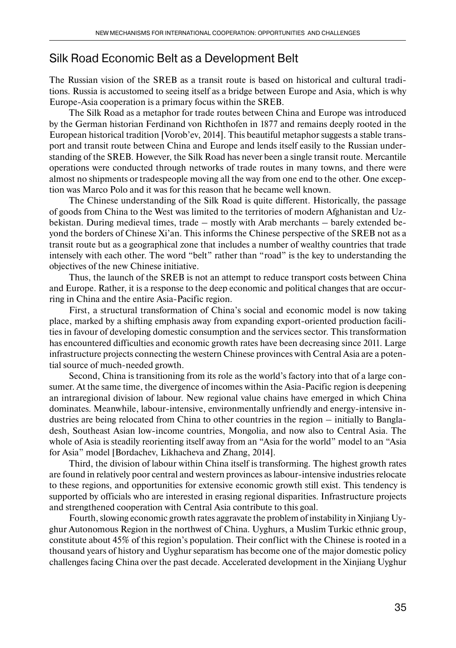## Silk Road Economic Belt as a Development Belt

The Russian vision of the SREB as a transit route is based on historical and cultural traditions. Russia is accustomed to seeing itself as a bridge between Europe and Asia, which is why Europe-Asia cooperation is a primary focus within the SREB.

The Silk Road as a metaphor for trade routes between China and Europe was introduced by the German historian Ferdinand von Richthofen in 1877 and remains deeply rooted in the European historical tradition [Vorob'ev, 2014]. This beautiful metaphor suggests a stable transport and transit route between China and Europe and lends itself easily to the Russian understanding of the SREB. However, the Silk Road has never been a single transit route. Mercantile operations were conducted through networks of trade routes in many towns, and there were almost no shipments or tradespeople moving all the way from one end to the other. One exception was Marco Polo and it was for this reason that he became well known.

The Chinese understanding of the Silk Road is quite different. Historically, the passage of goods from China to the West was limited to the territories of modern Afghanistan and Uzbekistan. During medieval times, trade – mostly with Arab merchants – barely extended beyond the borders of Chinese Xi'an. This informs the Chinese perspective of the SREB not as a transit route but as a geographical zone that includes a number of wealthy countries that trade intensely with each other. The word "belt" rather than "road" is the key to understanding the objectives of the new Chinese initiative.

Thus, the launch of the SREB is not an attempt to reduce transport costs between China and Europe. Rather, it is a response to the deep economic and political changes that are occurring in China and the entire Asia-Pacific region.

First, a structural transformation of China's social and economic model is now taking place, marked by a shifting emphasis away from expanding export-oriented production facilities in favour of developing domestic consumption and the services sector. This transformation has encountered difficulties and economic growth rates have been decreasing since 2011. Large infrastructure projects connecting the western Chinese provinces with Central Asia are a potential source of much-needed growth.

Second, China is transitioning from its role as the world's factory into that of a large consumer. At the same time, the divergence of incomes within the Asia-Pacific region is deepening an intraregional division of labour. New regional value chains have emerged in which China dominates. Meanwhile, labour-intensive, environmentally unfriendly and energy-intensive industries are being relocated from China to other countries in the region – initially to Bangladesh, Southeast Asian low-income countries, Mongolia, and now also to Central Asia. The whole of Asia is steadily reorienting itself away from an "Asia for the world" model to an "Asia for Asia" model [Bordachev, Likhacheva and Zhang, 2014].

Third, the division of labour within China itself is transforming. The highest growth rates are found in relatively poor central and western provinces as labour-intensive industries relocate to these regions, and opportunities for extensive economic growth still exist. This tendency is supported by officials who are interested in erasing regional disparities. Infrastructure projects and strengthened cooperation with Central Asia contribute to this goal.

Fourth, slowing economic growth rates aggravate the problem of instability in Xinjiang Uyghur Autonomous Region in the northwest of China. Uyghurs, a Muslim Turkic ethnic group, constitute about 45% of this region's population. Their conflict with the Chinese is rooted in a thousand years of history and Uyghur separatism has become one of the major domestic policy challenges facing China over the past decade. Accelerated development in the Xinjiang Uyghur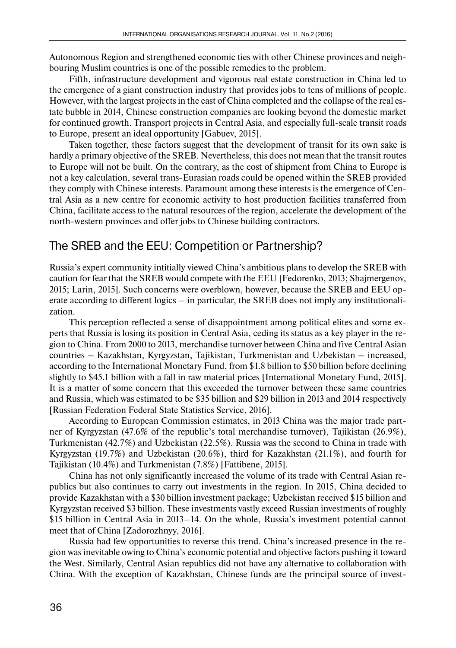Autonomous Region and strengthened economic ties with other Chinese provinces and neighbouring Muslim countries is one of the possible remedies to the problem.

Fifth, infrastructure development and vigorous real estate construction in China led to the emergence of a giant construction industry that provides jobs to tens of millions of people. However, with the largest projects in the east of China completed and the collapse of the real estate bubble in 2014, Chinese construction companies are looking beyond the domestic market for continued growth. Transport projects in Central Asia, and especially full-scale transit roads to Europe, present an ideal opportunity [Gabuev, 2015].

Taken together, these factors suggest that the development of transit for its own sake is hardly a primary objective of the SREB. Nevertheless, this does not mean that the transit routes to Europe will not be built. On the contrary, as the cost of shipment from China to Europe is not a key calculation, several trans-Eurasian roads could be opened within the SREB provided they comply with Chinese interests. Paramount among these interests is the emergence of Central Asia as a new centre for economic activity to host production facilities transferred from China, facilitate access to the natural resources of the region, accelerate the development of the north-western provinces and offer jobs to Chinese building contractors.

## The SREB and the EEU: Competition or Partnership?

Russia's expert community intitially viewed China's ambitious plans to develop the SREB with caution for fear that the SREB would compete with the EEU [Fedorenko, 2013; Shajmergenov, 2015; Larin, 2015]. Such concerns were overblown, however, because the SREB and EEU operate according to different logics – in particular, the SREB does not imply any institutionalization.

This perception reflected a sense of disappointment among political elites and some experts that Russia is losing its position in Central Asia, ceding its status as a key player in the region to China. From 2000 to 2013, merchandise turnover between China and five Central Asian countries – Kazakhstan, Kyrgyzstan, Tajikistan, Turkmenistan and Uzbekistan – increased, according to the International Monetary Fund, from \$1.8 billion to \$50 billion before declining slightly to \$45.1 billion with a fall in raw material prices [International Monetary Fund, 2015]. It is a matter of some concern that this exceeded the turnover between these same countries and Russia, which was estimated to be \$35 billion and \$29 billion in 2013 and 2014 respectively [Russian Federation Federal State Statistics Service, 2016].

According to European Commission estimates, in 2013 China was the major trade partner of Kyrgyzstan (47.6% of the republic's total merchandise turnover), Tajikistan (26.9%), Turkmenistan (42.7%) and Uzbekistan (22.5%). Russia was the second to China in trade with Kyrgyzstan (19.7%) and Uzbekistan (20.6%), third for Kazakhstan (21.1%), and fourth for Tajikistan (10.4%) and Turkmenistan (7.8%) [Fattibene, 2015].

China has not only significantly increased the volume of its trade with Central Asian republics but also continues to carry out investments in the region. In 2015, China decided to provide Kazakhstan with a \$30 billion investment package; Uzbekistan received \$15 billion and Kyrgyzstan received \$3 billion. These investments vastly exceed Russian investments of roughly \$15 billion in Central Asia in 2013–14. On the whole, Russia's investment potential cannot meet that of China [Zadorozhnyy, 2016].

Russia had few opportunities to reverse this trend. China's increased presence in the region was inevitable owing to China's economic potential and objective factors pushing it toward the West. Similarly, Central Asian republics did not have any alternative to collaboration with China. With the exception of Kazakhstan, Chinese funds are the principal source of invest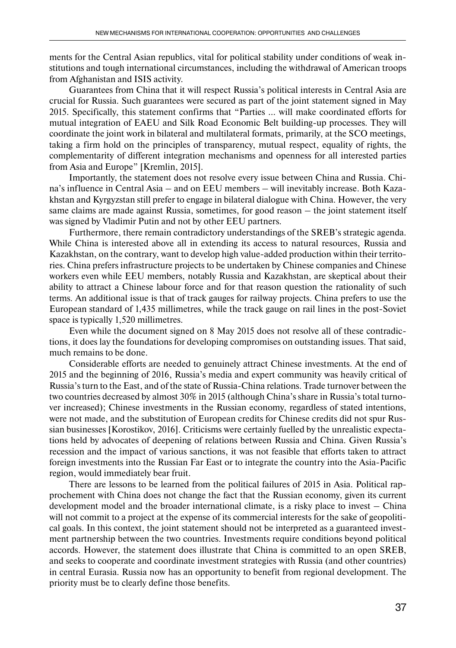ments for the Central Asian republics, vital for political stability under conditions of weak institutions and tough international circumstances, including the withdrawal of American troops from Afghanistan and ISIS activity.

Guarantees from China that it will respect Russia's political interests in Central Asia are crucial for Russia. Such guarantees were secured as part of the joint statement signed in May 2015. Specifically, this statement confirms that "Parties … will make coordinated efforts for mutual integration of EAEU and Silk Road Economic Belt building-up processes. They will coordinate the joint work in bilateral and multilateral formats, primarily, at the SCO meetings, taking a firm hold on the principles of transparency, mutual respect, equality of rights, the complementarity of different integration mechanisms and openness for all interested parties from Asia and Europe" [Kremlin, 2015].

Importantly, the statement does not resolve every issue between China and Russia. China's influence in Central Asia – and on EEU members – will inevitably increase. Both Kazakhstan and Kyrgyzstan still prefer to engage in bilateral dialogue with China. However, the very same claims are made against Russia, sometimes, for good reason – the joint statement itself was signed by Vladimir Putin and not by other EEU partners.

Furthermore, there remain contradictory understandings of the SREB's strategic agenda. While China is interested above all in extending its access to natural resources, Russia and Kazakhstan, on the contrary, want to develop high value-added production within their territories. China prefers infrastructure projects to be undertaken by Chinese companies and Chinese workers even while EEU members, notably Russia and Kazakhstan, are skeptical about their ability to attract a Chinese labour force and for that reason question the rationality of such terms. An additional issue is that of track gauges for railway projects. China prefers to use the European standard of 1,435 millimetres, while the track gauge on rail lines in the post-Soviet space is typically 1,520 millimetres.

Even while the document signed on 8 May 2015 does not resolve all of these contradictions, it does lay the foundations for developing compromises on outstanding issues. That said, much remains to be done.

Considerable efforts are needed to genuinely attract Chinese investments. At the end of 2015 and the beginning of 2016, Russia's media and expert community was heavily critical of Russia's turn to the East, and of the state of Russia-China relations. Trade turnover between the two countries decreased by almost 30% in 2015 (although China's share in Russia's total turnover increased); Chinese investments in the Russian economy, regardless of stated intentions, were not made, and the substitution of European credits for Chinese credits did not spur Russian businesses [Korostikov, 2016]. Criticisms were certainly fuelled by the unrealistic expectations held by advocates of deepening of relations between Russia and China. Given Russia's recession and the impact of various sanctions, it was not feasible that efforts taken to attract foreign investments into the Russian Far East or to integrate the country into the Asia-Pacific region, would immediately bear fruit.

There are lessons to be learned from the political failures of 2015 in Asia. Political rapprochement with China does not change the fact that the Russian economy, given its current development model and the broader international climate, is a risky place to invest – China will not commit to a project at the expense of its commercial interests for the sake of geopolitical goals. In this context, the joint statement should not be interpreted as a guaranteed investment partnership between the two countries. Investments require conditions beyond political accords. However, the statement does illustrate that China is committed to an open SREB, and seeks to cooperate and coordinate investment strategies with Russia (and other countries) in central Eurasia. Russia now has an opportunity to benefit from regional development. The priority must be to clearly define those benefits.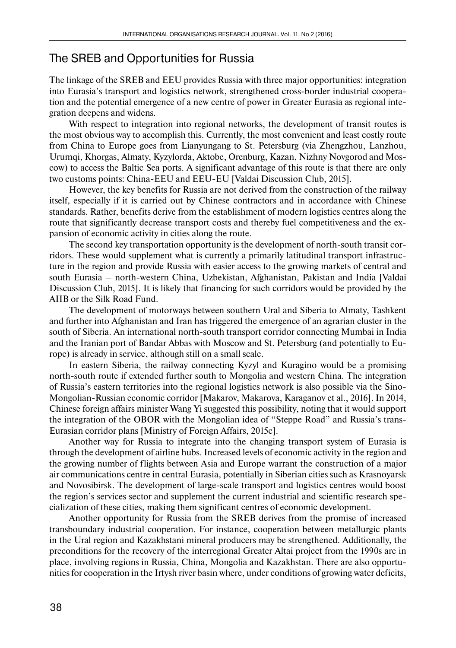### The SREB and Opportunities for Russia

The linkage of the SREB and EEU provides Russia with three major opportunities: integration into Eurasia's transport and logistics network, strengthened cross-border industrial cooperation and the potential emergence of a new centre of power in Greater Eurasia as regional integration deepens and widens.

With respect to integration into regional networks, the development of transit routes is the most obvious way to accomplish this. Currently, the most convenient and least costly route from China to Europe goes from Lianyungang to St. Petersburg (via Zhengzhou, Lanzhou, Urumqi, Khorgas, Almaty, Kyzylorda, Aktobe, Orenburg, Kazan, Nizhny Novgorod and Moscow) to access the Baltic Sea ports. A significant advantage of this route is that there are only two customs points: China-EEU and EEU-EU [Valdai Discussion Club, 2015].

However, the key benefits for Russia are not derived from the construction of the railway itself, especially if it is carried out by Chinese contractors and in accordance with Chinese standards. Rather, benefits derive from the establishment of modern logistics centres along the route that significantly decrease transport costs and thereby fuel competitiveness and the expansion of economic activity in cities along the route.

The second key transportation opportunity is the development of north-south transit corridors. These would supplement what is currently a primarily latitudinal transport infrastructure in the region and provide Russia with easier access to the growing markets of central and south Eurasia – north-western China, Uzbekistan, Afghanistan, Pakistan and India [Valdai Discussion Club, 2015]. It is likely that financing for such corridors would be provided by the AIIB or the Silk Road Fund.

The development of motorways between southern Ural and Siberia to Almaty, Tashkent and further into Afghanistan and Iran has triggered the emergence of an agrarian cluster in the south of Siberia. An international north-south transport corridor connecting Mumbai in India and the Iranian port of Bandar Abbas with Moscow and St. Petersburg (and potentially to Europe) is already in service, although still on a small scale.

In eastern Siberia, the railway connecting Kyzyl and Kuragino would be a promising north-south route if extended further south to Mongolia and western China. The integration of Russia's eastern territories into the regional logistics network is also possible via the Sino-Mongolian-Russian economic corridor [Makarov, Makarova, Karaganov et al., 2016]. In 2014, Chinese foreign affairs minister Wang Yi suggested this possibility, noting that it would support the integration of the OBOR with the Mongolian idea of "Steppe Road" and Russia's trans-Eurasian corridor plans [Ministry of Foreign Affairs, 2015c].

Another way for Russia to integrate into the changing transport system of Eurasia is through the development of airline hubs. Increased levels of economic activity in the region and the growing number of flights between Asia and Europe warrant the construction of a major air communications centre in central Eurasia, potentially in Siberian cities such as Krasnoyarsk and Novosibirsk. The development of large-scale transport and logistics centres would boost the region's services sector and supplement the current industrial and scientific research specialization of these cities, making them significant centres of economic development.

Another opportunity for Russia from the SREB derives from the promise of increased transboundary industrial cooperation. For instance, cooperation between metallurgic plants in the Ural region and Kazakhstani mineral producers may be strengthened. Additionally, the preconditions for the recovery of the interregional Greater Altai project from the 1990s are in place, involving regions in Russia, China, Mongolia and Kazakhstan. There are also opportunities for cooperation in the Irtysh river basin where, under conditions of growing water deficits,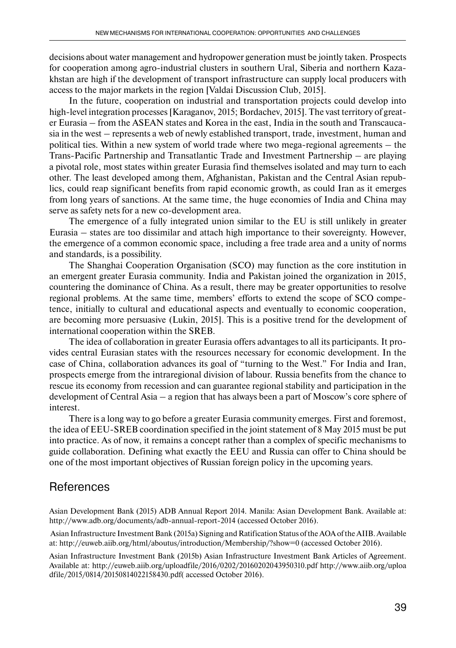decisions about water management and hydropower generation must be jointly taken. Prospects for cooperation among agro-industrial clusters in southern Ural, Siberia and northern Kazakhstan are high if the development of transport infrastructure can supply local producers with access to the major markets in the region [Valdai Discussion Club, 2015].

In the future, cooperation on industrial and transportation projects could develop into high-level integration processes [Karaganov, 2015; Bordachev, 2015]. The vast territory of greater Eurasia – from the ASEAN states and Korea in the east, India in the south and Transcaucasia in the west – represents a web of newly established transport, trade, investment, human and political ties. Within a new system of world trade where two mega-regional agreements – the Trans-Pacific Partnership and Transatlantic Trade and Investment Partnership – are playing a pivotal role, most states within greater Eurasia find themselves isolated and may turn to each other. The least developed among them, Afghanistan, Pakistan and the Central Asian republics, could reap significant benefits from rapid economic growth, as could Iran as it emerges from long years of sanctions. At the same time, the huge economies of India and China may serve as safety nets for a new co-development area.

The emergence of a fully integrated union similar to the EU is still unlikely in greater Eurasia – states are too dissimilar and attach high importance to their sovereignty. However, the emergence of a common economic space, including a free trade area and a unity of norms and standards, is a possibility.

The Shanghai Cooperation Organisation (SCO) may function as the core institution in an emergent greater Eurasia community. India and Pakistan joined the organization in 2015, countering the dominance of China. As a result, there may be greater opportunities to resolve regional problems. At the same time, members' efforts to extend the scope of SCO competence, initially to cultural and educational aspects and eventually to economic cooperation, are becoming more persuasive (Lukin, 2015]. This is a positive trend for the development of international cooperation within the SREB.

The idea of collaboration in greater Eurasia offers advantages to all its participants. It provides central Eurasian states with the resources necessary for economic development. In the case of China, collaboration advances its goal of "turning to the West." For India and Iran, prospects emerge from the intraregional division of labour. Russia benefits from the chance to rescue its economy from recession and can guarantee regional stability and participation in the development of Central Asia – a region that has always been a part of Moscow's core sphere of interest.

There is a long way to go before a greater Eurasia community emerges. First and foremost, the idea of EEU-SREB coordination specified in the joint statement of 8 May 2015 must be put into practice. As of now, it remains a concept rather than a complex of specific mechanisms to guide collaboration. Defining what exactly the EEU and Russia can offer to China should be one of the most important objectives of Russian foreign policy in the upcoming years.

#### **References**

Asian Development Bank (2015) ADB Annual Report 2014. Manila: Asian Development Bank. Available at: http://www.adb.org/documents/adb-annual-report-2014 (accessed October 2016).

 Asian Infrastructure Investment Bank (2015a) Signing and Ratification Status of the AOA of the AIIB. Available at: http://euweb.aiib.org/html/aboutus/introduction/Membership/?show=0 (accessed October 2016).

Asian Infrastructure Investment Bank (2015b) Asian Infrastructure Investment Bank Articles of Agreement. Available at: http://euweb.aiib.org/uploadfile/2016/0202/20160202043950310.pdf http://www.aiib.org/uploa dfile/2015/0814/20150814022158430.pdf( accessed October 2016).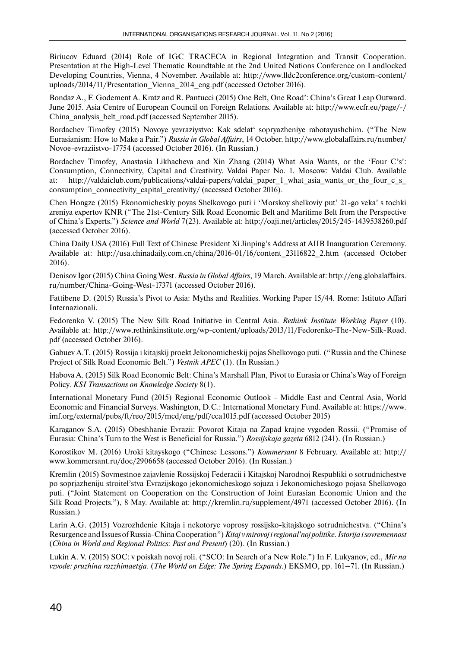Biriucov Eduard (2014) Role of IGC TRACECA in Regional Integration and Transit Cooperation. Presentation at the High-Level Thematic Roundtable at the 2nd United Nations Conference on Landlocked Developing Countries, Vienna, 4 November. Available at: http://www.lldc2conference.org/custom-content/ uploads/2014/11/Presentation Vienna 2014 eng.pdf (accessed October 2016).

Bondaz A., F. Godement A. Kratz and R. Pantucci (2015) One Belt, One Road': China's Great Leap Outward. June 2015. Asia Centre of European Council on Foreign Relations. Available at: http://www.ecfr.eu/page/-/ China analysis belt road.pdf (accessed September 2015).

Bordachev Timofey (2015) Novoye yevraziystvo: Kak sdelat' sopryazheniye rabotayushchim. ("The New Eurasianism: How to Make a Pair.") *Russia in Global Affairs*, 14 October. http://www.globalaffairs.ru/number/ Novoe-evraziistvo-17754 (accessed October 2016). (In Russian.)

Bordachev Timofey, Anastasia Likhacheva and Xin Zhang (2014) What Asia Wants, or the 'Four C's': Consumption, Connectivity, Capital and Creativity. Valdai Paper No. 1. Moscow: Valdai Club. Available at: http://valdaiclub.com/publications/valdai-papers/valdai paper 1 what asia wants or the four c s consumption\_connectivity\_capital\_creativity/ (accessed October 2016).

Chen Hongze (2015) Ekonomicheskiy poyas Shelkovogo puti i 'Morskoy shelkoviy put' 21-go veka' s tochki zreniya expertov KNR ("The 21st-Century Silk Road Economic Belt and Maritime Belt from the Perspective of China's Experts.") *Science and World* 7(23). Available at: http://oaji.net/articles/2015/245-1439538260.pdf (accessed October 2016).

China Daily USA (2016) Full Text of Chinese President Xi Jinping's Address at AIIB Inauguration Ceremony. Available at: http://usa.chinadaily.com.cn/china/2016-01/16/content\_23116822\_2.htm (accessed October 2016).

Denisov Igor (2015) China Going West. *Russia in Global Affairs*, 19 March. Available at: http://eng.globalaffairs. ru/number/China-Going-West-17371 (accessed October 2016).

Fattibene D. (2015) Russia's Pivot to Asia: Myths and Realities. Working Paper 15/44. Rome: Istituto Affari Internazionali.

Fedorenko V. (2015) The New Silk Road Initiative in Central Asia. *Rethink Institute Working Paper* (10). Available at: http://www.rethinkinstitute.org/wp-content/uploads/2013/11/Fedorenko-The-New-Silk-Road. pdf (accessed October 2016).

Gabuev A.T. (2015) Rossija i kitajskij proekt Jekonomicheskij pojas Shelkovogo puti. ("Russia and the Chinese Project of Silk Road Economic Belt.") *Vestnik APEC* (1). (In Russian.)

Habova A. (2015) Silk Road Economic Belt: China's Marshall Plan, Pivot to Eurasia or China's Way of Foreign Policy. *KSI Transactions on Knowledge Society* 8(1).

International Monetary Fund (2015) Regional Economic Outlook - Middle East and Central Asia, World Economic and Financial Surveys. Washington, D.C.: International Monetary Fund. Available at: https://www. imf.org/external/pubs/ft/reo/2015/mcd/eng/pdf/cca1015.pdf (accessed October 2015)

Karaganov S.A. (2015) Obeshhanie Evrazii: Povorot Kitaja na Zapad krajne vygoden Rossii. ("Promise of Eurasia: China's Turn to the West is Beneficial for Russia.") *Rossijskaja gazeta* 6812 (241). (In Russian.)

Korostikov M. (2016) Uroki kitayskogo ("Chinese Lessons.") *Kommersant* 8 February. Available at: http:// www.kommersant.ru/doc/2906658 (accessed October 2016). (In Russian.)

Kremlin (2015) Sovmestnoe zajavlenie Rossijskoj Federacii i Kitajskoj Narodnoj Respubliki o sotrudnichestve po soprjazheniju stroitel'stva Evrazijskogo jekonomicheskogo sojuza i Jekonomicheskogo pojasa Shelkovogo puti. ("Joint Statement on Cooperation on the Construction of Joint Eurasian Economic Union and the Silk Road Projects."), 8 May. Available at: http://kremlin.ru/supplement/4971 (accessed October 2016). (In Russian.)

Larin A.G. (2015) Vozrozhdenie Kitaja i nekotorye voprosy rossijsko-kitajskogo sotrudnichestva. ("China's Resurgence and Issues of Russia-China Cooperation") *Kitaj v mirovoj i regional'noj politike. Istorija i sovremennost* (*China in World and Regional Politics: Past and Present*) (20). (In Russian.)

Lukin A. V. (2015) SOC: v poiskah novoj roli. ("SCO: In Search of a New Role.") In F. Lukyanov, ed., *Mir na vzvode: pruzhina razzhimaetsja*. (*The World on Edge: The Spring Expands*.) EKSMO, pp. 161–71. (In Russian.)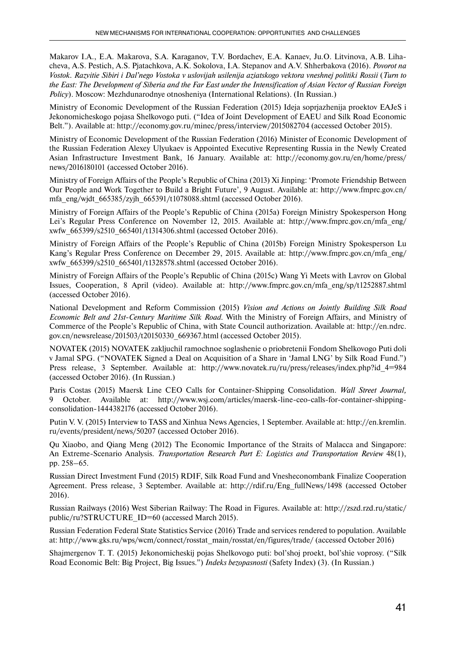Makarov I.A., E.A. Makarova, S.A. Karaganov, T.V. Bordachev, E.A. Kanaev, Ju.O. Litvinova, A.B. Lihacheva, A.S. Pestich, A.S. Pjatachkova, A.K. Sokolova, I.A. Stepanov and A.V. Shherbakova (2016). *Povorot na Vostok. Razvitie Sibiri i Dal'nego Vostoka v uslovijah usilenija aziatskogo vektora vneshnej politiki Rossii* (*Turn to the East: The Development of Siberia and the Far East under the Intensification of Asian Vector of Russian Foreign Policy*). Moscow: Mezhdunarodnye otnosheniya (International Relations). (In Russian.)

Ministry of Economic Development of the Russian Federation (2015) Ideja soprjazhenija proektov EAJeS i Jekonomicheskogo pojasa Shelkovogo puti. ("Idea of Joint Development of EAEU and Silk Road Economic Belt."). Available at: http://economy.gov.ru/minec/press/interview/2015082704 (accessed October 2015).

Ministry of Economic Development of the Russian Federation (2016) Minister of Economic Development of the Russian Federation Alexey Ulyukaev is Appointed Executive Representing Russia in the Newly Created Asian Infrastructure Investment Bank, 16 January. Available at: http://economy.gov.ru/en/home/press/ news/2016180101 (accessed October 2016).

Ministry of Foreign Affairs of the People's Republic of China (2013) Xi Jinping: 'Promote Friendship Between Our People and Work Together to Build a Bright Future', 9 August. Available at: http://www.fmprc.gov.cn/ mfa\_eng/wjdt\_665385/zyjh\_665391/t1078088.shtml (accessed October 2016).

Ministry of Foreign Affairs of the People's Republic of China (2015a) Foreign Ministry Spokesperson Hong Lei's Regular Press Conference on November 12, 2015. Available at: http://www.fmprc.gov.cn/mfa\_eng/ xwfw\_665399/s2510\_665401/t1314306.shtml (accessed October 2016).

Ministry of Foreign Affairs of the People's Republic of China (2015b) Foreign Ministry Spokesperson Lu Kang's Regular Press Conference on December 29, 2015. Available at: http://www.fmprc.gov.cn/mfa\_eng/ xwfw\_665399/s2510\_665401/t1328578.shtml (accessed October 2016).

Ministry of Foreign Affairs of the People's Republic of China (2015c) Wang Yi Meets with Lavrov on Global Issues, Cooperation, 8 April (video). Available at: http://www.fmprc.gov.cn/mfa\_eng/sp/t1252887.shtml (accessed October 2016).

National Development and Reform Commission (2015) *Vision and Actions on Jointly Building Silk Road Economic Belt and 21st-Century Maritime Silk Road.* With the Ministry of Foreign Affairs, and Ministry of Commerce of the People's Republic of China, with State Council authorization. Available at: http://en.ndrc. gov.cn/newsrelease/201503/t20150330\_669367.html (accessed October 2015).

NOVATEK (2015) NOVATEK zakljuchil ramochnoe soglashenie o priobretenii Fondom Shelkovogo Puti doli v Jamal SPG. ("NOVATEK Signed a Deal on Acquisition of a Share in 'Jamal LNG' by Silk Road Fund.") Press release, 3 September*.* Available at: http://www.novatek.ru/ru/press/releases/index.php?id\_4=984 (accessed October 2016). (In Russian.)

Paris Costas (2015) Maersk Line CEO Calls for Container-Shipping Consolidation. *Wall Street Journal,*  9 October. Available at: http://www.wsj.com/articles/maersk-line-ceo-calls-for-container-shippingconsolidation-1444382176 (accessed October 2016).

Putin V. V. (2015) Interview to TASS and Xinhua News Agencies, 1 September. Available at: http://en.kremlin. ru/events/president/news/50207 (accessed October 2016).

Qu Xiaobo, and Qiang Meng (2012) The Economic Importance of the Straits of Malacca and Singapore: An Extreme-Scenario Analysis. *Transportation Research Part E: Logistics and Transportation Review* 48(1), pp. 258–65.

Russian Direct Investment Fund (2015) RDIF, Silk Road Fund and Vnesheconombank Finalize Cooperation Agreement. Press release, 3 September. Available at: http://rdif.ru/Eng\_fullNews/1498 (accessed October 2016).

Russian Railways (2016) West Siberian Railway: The Road in Figures. Available at: http://zszd.rzd.ru/static/ public/ru?STRUCTURE\_ID=60 (accessed March 2015).

Russian Federation Federal State Statistics Service (2016) Trade and services rendered to population. Available at: http://www.gks.ru/wps/wcm/connect/rosstat\_main/rosstat/en/figures/trade/ (accessed October 2016)

Shajmergenov T. T. (2015) Jekonomicheskij pojas Shelkovogo puti: bol'shoj proekt, bol'shie voprosy. ("Silk Road Economic Belt: Big Project, Big Issues.") *Indeks bezopasnosti* (Safety Index) (3). (In Russian.)